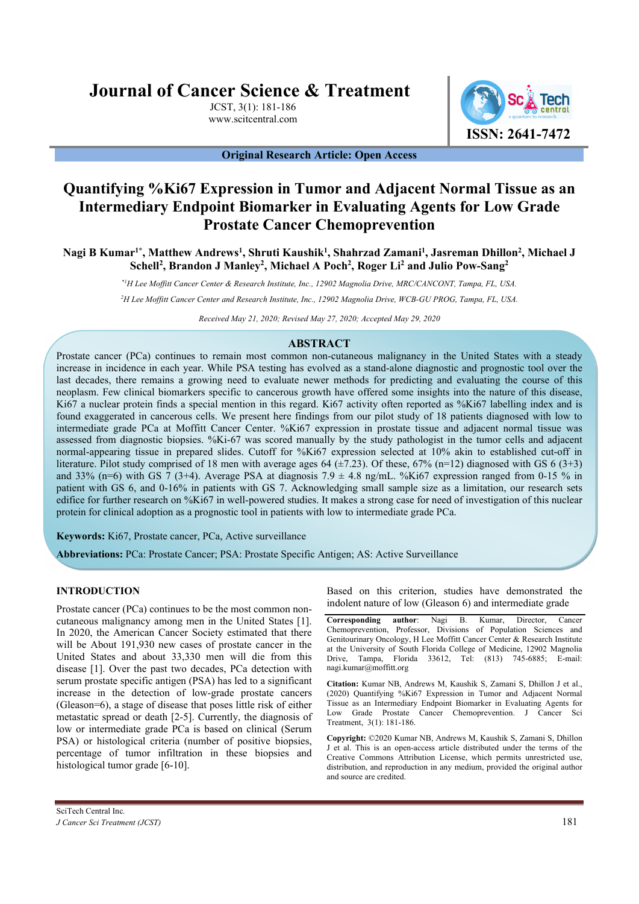# **Journal of Cancer Science & Treatment**

JCST, 3(1): 181-186 www.scitcentral.com



# **Original Research Article: Open Access**

# **Quantifying %Ki67 Expression in Tumor and Adjacent Normal Tissue as an Intermediary Endpoint Biomarker in Evaluating Agents for Low Grade Prostate Cancer Chemoprevention**

**Nagi B Kumar1\*, Matthew Andrews<sup>1</sup> , Shruti Kaushik<sup>1</sup> , Shahrzad Zamani<sup>1</sup> , Jasreman Dhillon<sup>2</sup> , Michael J Schell<sup>2</sup> , Brandon J Manley<sup>2</sup> , Michael A Poch<sup>2</sup> , Roger Li<sup>2</sup> and Julio Pow-Sang<sup>2</sup>**

*\*1H Lee Moffitt Cancer Center & Research Institute, Inc., 12902 Magnolia Drive, MRC/CANCONT, Tampa, FL, USA.* 

*<sup>2</sup>H Lee Moffitt Cancer Center and Research Institute, Inc., 12902 Magnolia Drive, WCB-GU PROG, Tampa, FL, USA.* 

*Received May 21, 2020; Revised May 27, 2020; Accepted May 29, 2020*

# **ABSTRACT**

Prostate cancer (PCa) continues to remain most common non-cutaneous malignancy in the United States with a steady increase in incidence in each year. While PSA testing has evolved as a stand-alone diagnostic and prognostic tool over the last decades, there remains a growing need to evaluate newer methods for predicting and evaluating the course of this neoplasm. Few clinical biomarkers specific to cancerous growth have offered some insights into the nature of this disease, Ki67 a nuclear protein finds a special mention in this regard. Ki67 activity often reported as %Ki67 labelling index and is found exaggerated in cancerous cells. We present here findings from our pilot study of 18 patients diagnosed with low to intermediate grade PCa at Moffitt Cancer Center. %Ki67 expression in prostate tissue and adjacent normal tissue was assessed from diagnostic biopsies. %Ki-67 was scored manually by the study pathologist in the tumor cells and adjacent normal-appearing tissue in prepared slides. Cutoff for %Ki67 expression selected at 10% akin to established cut-off in literature. Pilot study comprised of 18 men with average ages 64  $(\pm 7.23)$ . Of these, 67% (n=12) diagnosed with GS 6 (3+3) and 33% (n=6) with GS  $\overline{7}$  (3+4). Average PSA at diagnosis 7.9  $\pm$  4.8 ng/mL. %Ki67 expression ranged from 0-15 % in patient with GS 6, and 0-16% in patients with GS 7. Acknowledging small sample size as a limitation, our research sets edifice for further research on %Ki67 in well-powered studies. It makes a strong case for need of investigation of this nuclear protein for clinical adoption as a prognostic tool in patients with low to intermediate grade PCa.

**Keywords:** Ki67, Prostate cancer, PCa, Active surveillance

**Abbreviations:** PCa: Prostate Cancer; PSA: Prostate Specific Antigen; AS: Active Surveillance

# **INTRODUCTION**

Prostate cancer (PCa) continues to be the most common noncutaneous malignancy among men in the United States [1]. In 2020, the American Cancer Society estimated that there will be About 191,930 new cases of prostate cancer in the United States and about 33,330 men will die from this disease [1]. Over the past two decades, PCa detection with serum prostate specific antigen (PSA) has led to a significant increase in the detection of low-grade prostate cancers (Gleason=6), a stage of disease that poses little risk of either metastatic spread or death [2-5]. Currently, the diagnosis of low or intermediate grade PCa is based on clinical (Serum PSA) or histological criteria (number of positive biopsies, percentage of tumor infiltration in these biopsies and histological tumor grade [6-10].

Based on this criterion, studies have demonstrated the indolent nature of low (Gleason 6) and intermediate grade

**Corresponding author**: Nagi B. Kumar, Director, Cancer Chemoprevention, Professor, Divisions of Population Sciences and Genitourinary Oncology, H Lee Moffitt Cancer Center & Research Institute at the University of South Florida College of Medicine, 12902 Magnolia Drive, Tampa, Florida 33612, Tel: (813) 745-6885; E-mail: nagi.kumar@moffitt.org

**Citation:** Kumar NB, Andrews M, Kaushik S, Zamani S, Dhillon J et al., (2020) Quantifying %Ki67 Expression in Tumor and Adjacent Normal Tissue as an Intermediary Endpoint Biomarker in Evaluating Agents for Low Grade Prostate Cancer Chemoprevention. J Cancer Sci Treatment, 3(1): 181-186.

**Copyright:** ©2020 Kumar NB, Andrews M, Kaushik S, Zamani S, Dhillon J et al. This is an open-access article distributed under the terms of the Creative Commons Attribution License, which permits unrestricted use, distribution, and reproduction in any medium, provided the original author and source are credited.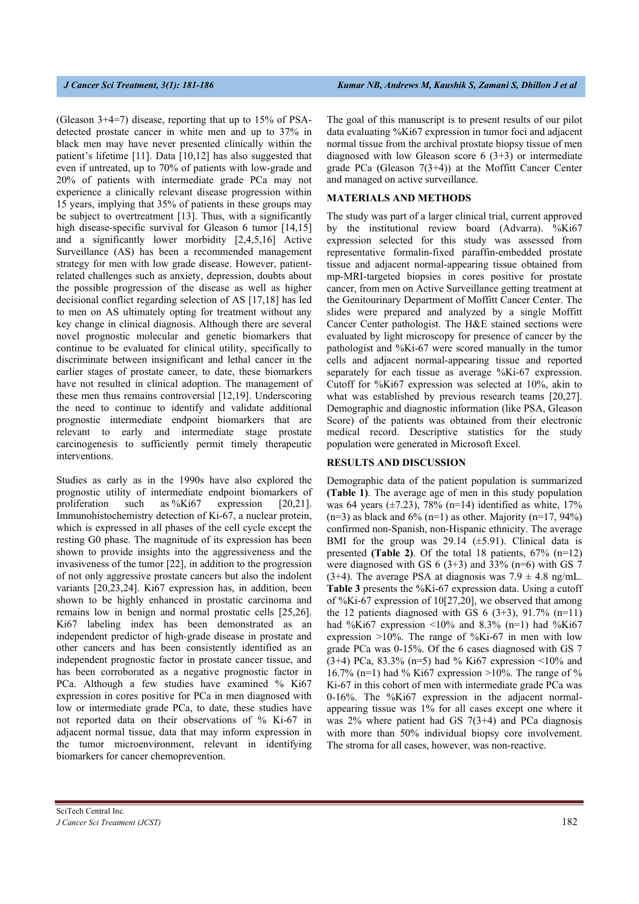(Gleason 3+4=7) disease, reporting that up to 15% of PSAdetected prostate cancer in white men and up to 37% in black men may have never presented clinically within the patient's lifetime [11]. Data [10,12] has also suggested that even if untreated, up to 70% of patients with low-grade and 20% of patients with intermediate grade PCa may not experience a clinically relevant disease progression within 15 years, implying that 35% of patients in these groups may be subject to overtreatment [13]. Thus, with a significantly high disease-specific survival for Gleason 6 tumor [14,15] and a significantly lower morbidity [2,4,5,16] Active Surveillance (AS) has been a recommended management strategy for men with low grade disease. However, patientrelated challenges such as anxiety, depression, doubts about the possible progression of the disease as well as higher decisional conflict regarding selection of AS [17,18] has led to men on AS ultimately opting for treatment without any key change in clinical diagnosis. Although there are several novel prognostic molecular and genetic biomarkers that continue to be evaluated for clinical utility, specifically to discriminate between insignificant and lethal cancer in the earlier stages of prostate cancer, to date, these biomarkers have not resulted in clinical adoption. The management of these men thus remains controversial [12,19]. Underscoring the need to continue to identify and validate additional prognostic intermediate endpoint biomarkers that are relevant to early and intermediate stage prostate carcinogenesis to sufficiently permit timely therapeutic interventions.

Studies as early as in the 1990s have also explored the prognostic utility of intermediate endpoint biomarkers of proliferation such as %Ki67 expression [20,21]. Immunohistochemistry detection of Ki-67, a nuclear protein, which is expressed in all phases of the cell cycle except the resting G0 phase. The magnitude of its expression has been shown to provide insights into the aggressiveness and the invasiveness of the tumor [22], in addition to the progression of not only aggressive prostate cancers but also the indolent variants [20,23,24]. Ki67 expression has, in addition, been shown to be highly enhanced in prostatic carcinoma and remains low in benign and normal prostatic cells [25,26]. Ki67 labeling index has been demonstrated as an independent predictor of high-grade disease in prostate and other cancers and has been consistently identified as an independent prognostic factor in prostate cancer tissue, and has been corroborated as a negative prognostic factor in PCa. Although a few studies have examined % Ki67 expression in cores positive for PCa in men diagnosed with low or intermediate grade PCa, to date, these studies have not reported data on their observations of % Ki-67 in adjacent normal tissue, data that may inform expression in the tumor microenvironment, relevant in identifying biomarkers for cancer chemoprevention.

The goal of this manuscript is to present results of our pilot data evaluating %Ki67 expression in tumor foci and adjacent normal tissue from the archival prostate biopsy tissue of men diagnosed with low Gleason score  $6(3+3)$  or intermediate grade PCa (Gleason  $7(3+4)$ ) at the Moffitt Cancer Center and managed on active surveillance.

### **MATERIALS AND METHODS**

The study was part of a larger clinical trial, current approved by the institutional review board (Advarra). %Ki67 expression selected for this study was assessed from representative formalin-fixed paraffin-embedded prostate tissue and adjacent normal-appearing tissue obtained from mp-MRI-targeted biopsies in cores positive for prostate cancer, from men on Active Surveillance getting treatment at the Genitourinary Department of Moffitt Cancer Center. The slides were prepared and analyzed by a single Moffitt Cancer Center pathologist. The H&E stained sections were evaluated by light microscopy for presence of cancer by the pathologist and %Ki-67 were scored manually in the tumor cells and adjacent normal-appearing tissue and reported separately for each tissue as average %Ki-67 expression. Cutoff for %Ki67 expression was selected at 10%, akin to what was established by previous research teams [20,27]. Demographic and diagnostic information (like PSA, Gleason Score) of the patients was obtained from their electronic medical record. Descriptive statistics for the study population were generated in Microsoft Excel.

#### **RESULTS AND DISCUSSION**

Demographic data of the patient population is summarized **(Table 1)**. The average age of men in this study population was 64 years ( $\pm$ 7.23), 78% (n=14) identified as white, 17%  $(n=3)$  as black and 6%  $(n=1)$  as other. Majority  $(n=17, 94\%)$ confirmed non-Spanish, non-Hispanic ethnicity. The average BMI for the group was  $29.14 \ (\pm 5.91)$ . Clinical data is presented **(Table 2)**. Of the total 18 patients, 67% (n=12) were diagnosed with GS  $6(3+3)$  and  $33\%$  (n=6) with GS 7 (3+4). The average PSA at diagnosis was  $7.9 \pm 4.8$  ng/mL. **Table 3** presents the %Ki-67 expression data. Using a cutoff of %Ki-67 expression of 10[27,20], we observed that among the 12 patients diagnosed with GS  $6(3+3)$ , 91.7% (n=11) had %Ki67 expression <10% and 8.3% (n=1) had %Ki67 expression >10%. The range of %Ki-67 in men with low grade PCa was 0-15%. Of the 6 cases diagnosed with GS 7 (3+4) PCa, 83.3% (n=5) had % Ki67 expression <10% and 16.7% (n=1) had % Ki67 expression >10%. The range of % Ki-67 in this cohort of men with intermediate grade PCa was 0-16%. The %Ki67 expression in the adjacent normalappearing tissue was 1% for all cases except one where it was 2% where patient had GS 7(3+4) and PCa diagnosis with more than 50% individual biopsy core involvement. The stroma for all cases, however, was non-reactive.

SciTech Central Inc*. J Cancer Sci Treatment (JCST)* 182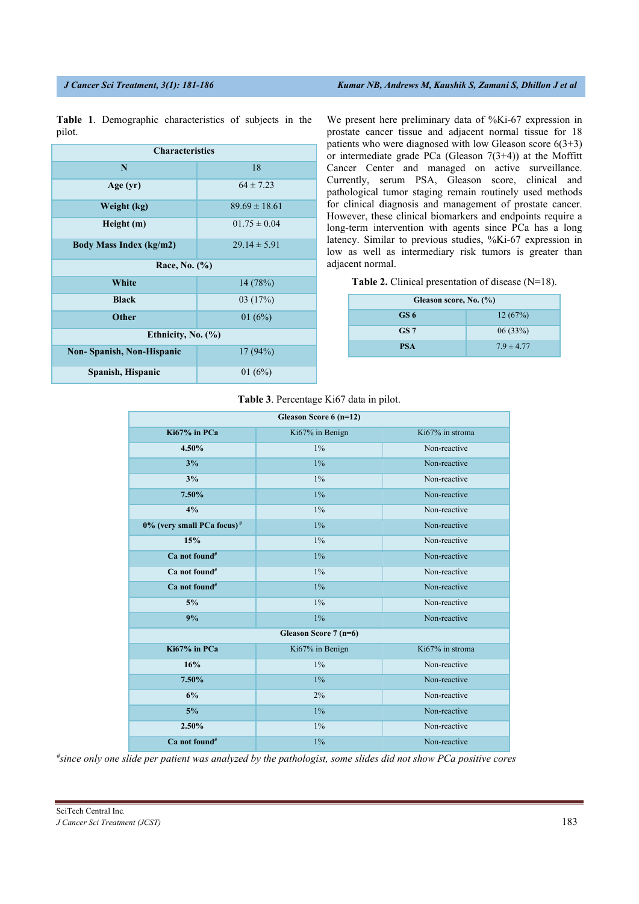| <b>Characteristics</b>           |                   |  |
|----------------------------------|-------------------|--|
| N                                | 18                |  |
| Age (yr)                         | $64 \pm 7.23$     |  |
| Weight (kg)                      | $89.69 \pm 18.61$ |  |
| Height (m)                       | $01.75 \pm 0.04$  |  |
| <b>Body Mass Index (kg/m2)</b>   | $29.14 \pm 5.91$  |  |
| Race, No. (%)                    |                   |  |
| White                            | 14(78%)           |  |
| <b>Black</b>                     | 03(17%)           |  |
| <b>Other</b>                     | 01 $(6%)$         |  |
| Ethnicity, No. (%)               |                   |  |
| <b>Non-Spanish, Non-Hispanic</b> | 17(94%)           |  |
| Spanish, Hispanic                | 01 $(6%)$         |  |

**Table 1**. Demographic characteristics of subjects in the pilot.

We present here preliminary data of %Ki-67 expression in prostate cancer tissue and adjacent normal tissue for 18 patients who were diagnosed with low Gleason score  $6(3+3)$ or intermediate grade PCa (Gleason  $7(3+4)$ ) at the Moffitt Cancer Center and managed on active surveillance. Currently, serum PSA, Gleason score, clinical and pathological tumor staging remain routinely used methods for clinical diagnosis and management of prostate cancer. However, these clinical biomarkers and endpoints require a long-term intervention with agents since PCa has a long latency. Similar to previous studies, %Ki-67 expression in low as well as intermediary risk tumors is greater than adjacent normal.

**Table 2.** Clinical presentation of disease (N=18).

| Gleason score, No. (%) |                |  |
|------------------------|----------------|--|
| GS 6                   | 12(67%)        |  |
| GS <sub>7</sub>        | 06(33%)        |  |
| <b>PSA</b>             | $7.9 \pm 4.77$ |  |

# **Table 3**. Percentage Ki67 data in pilot.

| Gleason Score 6 (n=12)                 |                 |                 |
|----------------------------------------|-----------------|-----------------|
| Ki67% in PCa                           | Ki67% in Benign | Ki67% in stroma |
| 4.50%                                  | $1\%$           | Non-reactive    |
| 3%                                     | 1%              | Non-reactive    |
| 3%                                     | $1\%$           | Non-reactive    |
| 7.50%                                  | $1\%$           | Non-reactive    |
| 4%                                     | $1\%$           | Non-reactive    |
| 0% (very small PCa focus) <sup>#</sup> | $1\%$           | Non-reactive    |
| 15%                                    | $1\%$           | Non-reactive    |
| Ca not found#                          | $1\%$           | Non-reactive    |
| Ca not found#                          | $1\%$           | Non-reactive    |
| Ca not found#                          | $1\%$           | Non-reactive    |
| $5\%$                                  | $1\%$           | Non-reactive    |
| 9%                                     | $1\%$           | Non-reactive    |
| Gleason Score 7 (n=6)                  |                 |                 |
| $Ki67%$ in PCa                         | Ki67% in Benign | Ki67% in stroma |
| 16%                                    | $1\%$           | Non-reactive    |
| 7.50%                                  | $1\%$           | Non-reactive    |
| 6%                                     | 2%              | Non-reactive    |
| 5%                                     | $1\%$           | Non-reactive    |
| 2.50%                                  | $1\%$           | Non-reactive    |
| Ca not found#                          | $1\%$           | Non-reactive    |

*# since only one slide per patient was analyzed by the pathologist, some slides did not show PCa positive cores*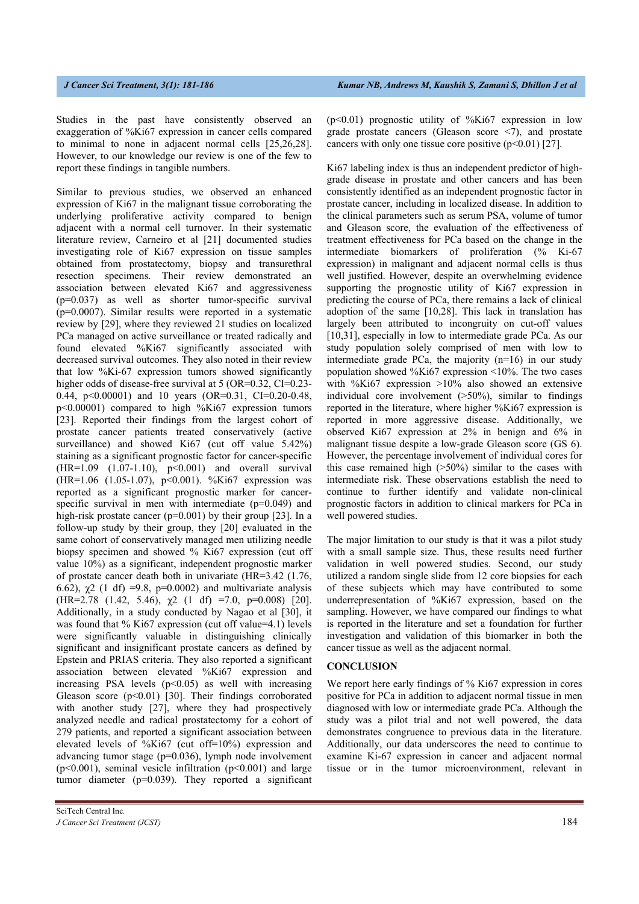Studies in the past have consistently observed an exaggeration of %Ki67 expression in cancer cells compared to minimal to none in adjacent normal cells [25,26,28]. However, to our knowledge our review is one of the few to report these findings in tangible numbers.

Similar to previous studies, we observed an enhanced expression of Ki67 in the malignant tissue corroborating the underlying proliferative activity compared to benign adjacent with a normal cell turnover. In their systematic literature review, Carneiro et al [21] documented studies investigating role of Ki67 expression on tissue samples obtained from prostatectomy, biopsy and transurethral resection specimens. Their review demonstrated an association between elevated Ki67 and aggressiveness (p=0.037) as well as shorter tumor-specific survival  $(p=0.0007)$ . Similar results were reported in a systematic review by [29], where they reviewed 21 studies on localized PCa managed on active surveillance or treated radically and found elevated %Ki67 significantly associated with decreased survival outcomes. They also noted in their review that low %Ki-67 expression tumors showed significantly higher odds of disease-free survival at 5 (OR=0.32, CI=0.23-0.44, p<0.00001) and 10 years (OR=0.31, CI=0.20-0.48, p<0.00001) compared to high %Ki67 expression tumors [23]. Reported their findings from the largest cohort of prostate cancer patients treated conservatively (active surveillance) and showed Ki67 (cut off value 5.42%) staining as a significant prognostic factor for cancer-specific (HR=1.09 (1.07-1.10), p<0.001) and overall survival (HR=1.06 (1.05-1.07), p<0.001). %Ki67 expression was reported as a significant prognostic marker for cancerspecific survival in men with intermediate (p=0.049) and high-risk prostate cancer (p=0.001) by their group [23]. In a follow-up study by their group, they [20] evaluated in the same cohort of conservatively managed men utilizing needle biopsy specimen and showed % Ki67 expression (cut off value 10%) as a significant, independent prognostic marker of prostate cancer death both in univariate (HR=3.42 (1.76, 6.62),  $\chi$ 2 (1 df) =9.8, p=0.0002) and multivariate analysis (HR=2.78 (1.42, 5.46),  $\chi$ 2 (1 df) =7.0, p=0.008) [20]. Additionally, in a study conducted by Nagao et al [30], it was found that % Ki67 expression (cut off value=4.1) levels were significantly valuable in distinguishing clinically significant and insignificant prostate cancers as defined by Epstein and PRIAS criteria. They also reported a significant association between elevated %Ki67 expression and increasing PSA levels  $(p<0.05)$  as well with increasing Gleason score (p<0.01) [30]. Their findings corroborated with another study [27], where they had prospectively analyzed needle and radical prostatectomy for a cohort of 279 patients, and reported a significant association between elevated levels of %Ki67 (cut off=10%) expression and advancing tumor stage (p=0.036), lymph node involvement ( $p<0.001$ ), seminal vesicle infiltration ( $p<0.001$ ) and large tumor diameter ( $p=0.039$ ). They reported a significant

 $(p<0.01)$  prognostic utility of %Ki67 expression in low grade prostate cancers (Gleason score <7), and prostate cancers with only one tissue core positive  $(p<0.01)$  [27].

Ki67 labeling index is thus an independent predictor of highgrade disease in prostate and other cancers and has been consistently identified as an independent prognostic factor in prostate cancer, including in localized disease. In addition to the clinical parameters such as serum PSA, volume of tumor and Gleason score, the evaluation of the effectiveness of treatment effectiveness for PCa based on the change in the intermediate biomarkers of proliferation (% Ki-67 expression) in malignant and adjacent normal cells is thus well justified. However, despite an overwhelming evidence supporting the prognostic utility of Ki67 expression in predicting the course of PCa, there remains a lack of clinical adoption of the same [10,28]. This lack in translation has largely been attributed to incongruity on cut-off values [10,31], especially in low to intermediate grade PCa. As our study population solely comprised of men with low to intermediate grade PCa, the majority (n=16) in our study population showed %Ki67 expression <10%. The two cases with %Ki67 expression >10% also showed an extensive individual core involvement (>50%), similar to findings reported in the literature, where higher %Ki67 expression is reported in more aggressive disease. Additionally, we observed Ki67 expression at 2% in benign and 6% in malignant tissue despite a low-grade Gleason score (GS 6). However, the percentage involvement of individual cores for this case remained high (>50%) similar to the cases with intermediate risk. These observations establish the need to continue to further identify and validate non-clinical prognostic factors in addition to clinical markers for PCa in well powered studies.

The major limitation to our study is that it was a pilot study with a small sample size. Thus, these results need further validation in well powered studies. Second, our study utilized a random single slide from 12 core biopsies for each of these subjects which may have contributed to some underrepresentation of %Ki67 expression, based on the sampling. However, we have compared our findings to what is reported in the literature and set a foundation for further investigation and validation of this biomarker in both the cancer tissue as well as the adjacent normal.

### **CONCLUSION**

We report here early findings of % Ki67 expression in cores positive for PCa in addition to adjacent normal tissue in men diagnosed with low or intermediate grade PCa. Although the study was a pilot trial and not well powered, the data demonstrates congruence to previous data in the literature. Additionally, our data underscores the need to continue to examine Ki-67 expression in cancer and adjacent normal tissue or in the tumor microenvironment, relevant in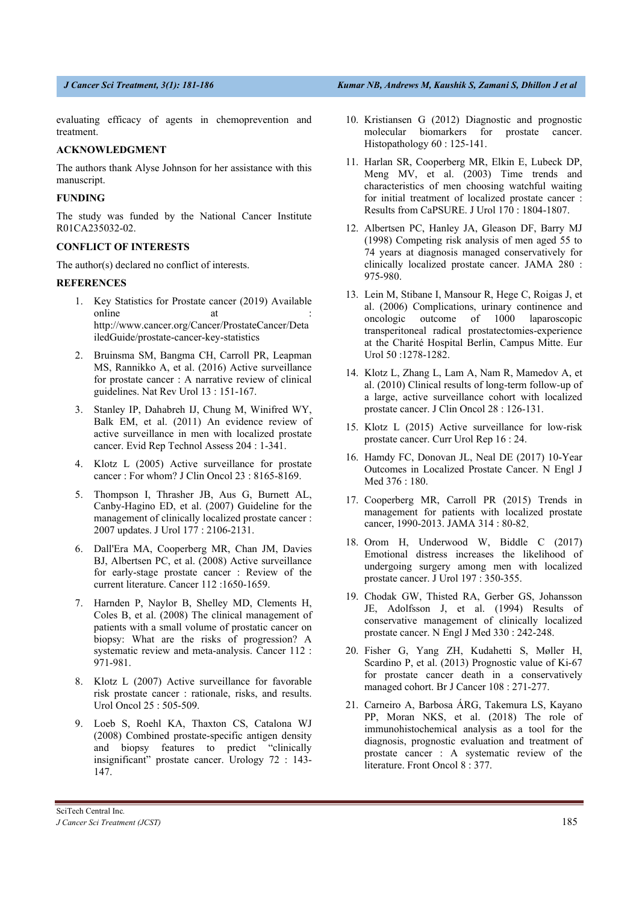evaluating efficacy of agents in chemoprevention and treatment.

# **ACKNOWLEDGMENT**

The authors thank Alyse Johnson for her assistance with this manuscript.

# **FUNDING**

The study was funded by the National Cancer Institute R01CA235032-02.

# **CONFLICT OF INTERESTS**

The author(s) declared no conflict of interests.

# **REFERENCES**

- 1. Key Statistics for Prostate cancer (2019) Available online at : http://www.cancer.org/Cancer/ProstateCancer/Deta iledGuide/prostate-cancer-key-statistics
- 2. Bruinsma SM, Bangma CH, Carroll PR, Leapman MS, Rannikko A, et al. (2016) Active surveillance for prostate cancer : A narrative review of clinical guidelines. Nat Rev Urol 13 : 151-167.
- 3. Stanley IP, Dahabreh IJ, Chung M, Winifred WY, Balk EM, et al. (2011) An evidence review of active surveillance in men with localized prostate cancer. Evid Rep Technol Assess 204 : 1-341.
- 4. Klotz L (2005) Active surveillance for prostate cancer : For whom? J Clin Oncol 23 : 8165-8169.
- 5. Thompson I, Thrasher JB, Aus G, Burnett AL, Canby-Hagino ED, et al. (2007) Guideline for the management of clinically localized prostate cancer : 2007 updates. J Urol 177 : 2106-2131.
- 6. Dall'Era MA, Cooperberg MR, Chan JM, Davies BJ, Albertsen PC, et al. (2008) Active surveillance for early-stage prostate cancer : Review of the current literature. Cancer 112 :1650-1659.
- 7. Harnden P, Naylor B, Shelley MD, Clements H, Coles B, et al. (2008) The clinical management of patients with a small volume of prostatic cancer on biopsy: What are the risks of progression? A systematic review and meta-analysis. Cancer 112 : 971-981.
- 8. Klotz L (2007) Active surveillance for favorable risk prostate cancer : rationale, risks, and results. Urol Oncol 25 : 505-509.
- 9. Loeb S, Roehl KA, Thaxton CS, Catalona WJ (2008) Combined prostate-specific antigen density and biopsy features to predict "clinically insignificant" prostate cancer. Urology 72 : 143- 147.
- 10. Kristiansen G (2012) Diagnostic and prognostic molecular biomarkers for prostate cancer. Histopathology 60 : 125-141.
- 11. Harlan SR, Cooperberg MR, Elkin E, Lubeck DP, Meng MV, et al. (2003) Time trends and characteristics of men choosing watchful waiting for initial treatment of localized prostate cancer : Results from CaPSURE. J Urol 170 : 1804-1807.
- 12. Albertsen PC, Hanley JA, Gleason DF, Barry MJ (1998) Competing risk analysis of men aged 55 to 74 years at diagnosis managed conservatively for clinically localized prostate cancer. JAMA 280 : 975-980.
- 13. Lein M, Stibane I, Mansour R, Hege C, Roigas J, et al. (2006) Complications, urinary continence and oncologic outcome of 1000 laparoscopic transperitoneal radical prostatectomies-experience at the Charité Hospital Berlin, Campus Mitte. Eur Urol 50 :1278-1282.
- 14. Klotz L, Zhang L, Lam A, Nam R, Mamedov A, et al. (2010) Clinical results of long-term follow-up of a large, active surveillance cohort with localized prostate cancer. J Clin Oncol 28 : 126-131.
- 15. Klotz L (2015) Active surveillance for low-risk prostate cancer. Curr Urol Rep 16 : 24.
- 16. Hamdy FC, Donovan JL, Neal DE (2017) 10-Year Outcomes in Localized Prostate Cancer. N Engl J Med 376 : 180.
- 17. Cooperberg MR, Carroll PR (2015) Trends in management for patients with localized prostate cancer, 1990-2013. JAMA 314 : 80-82.
- 18. Orom H, Underwood W, Biddle C (2017) Emotional distress increases the likelihood of undergoing surgery among men with localized prostate cancer. J Urol 197 : 350-355.
- 19. Chodak GW, Thisted RA, Gerber GS, Johansson JE, Adolfsson J, et al. (1994) Results of conservative management of clinically localized prostate cancer. N Engl J Med 330 : 242-248.
- 20. Fisher G, Yang ZH, Kudahetti S, Møller H, Scardino P, et al. (2013) Prognostic value of Ki-67 for prostate cancer death in a conservatively managed cohort. Br J Cancer 108 : 271-277.
- 21. Carneiro A, Barbosa ÁRG, Takemura LS, Kayano PP, Moran NKS, et al. (2018) The role of immunohistochemical analysis as a tool for the diagnosis, prognostic evaluation and treatment of prostate cancer : A systematic review of the literature. Front Oncol 8 : 377.